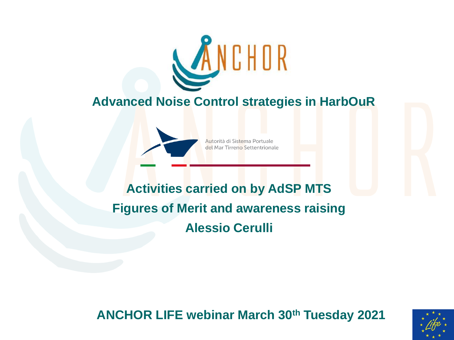

#### **Advanced Noise Control strategies in HarbOuR**



Autorità di Sistema Portuale del Mar Tirreno Settentrionale

# **Activities carried on by AdSP MTS Figures of Merit and awareness raising Alessio Cerulli**

**ANCHOR LIFE webinar March 30th Tuesday 2021**

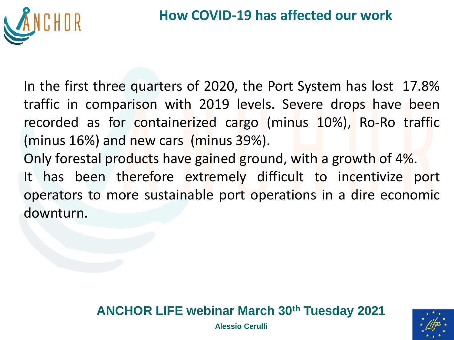

In the first three quarters of 2020, the Port System has lost 17.8% traffic in comparison with 2019 levels. Severe drops have been recorded as for containerized cargo (minus 10%), Ro-Ro traffic (minus 16%) and new cars (minus 39%).

Only forestal products have gained ground, with a growth of 4%. It has been therefore extremely difficult to incentivize port operators to more sustainable port operations in a dire economic downturn.

#### **ANCHOR LIFE webinar March 30th Tuesday 2021**

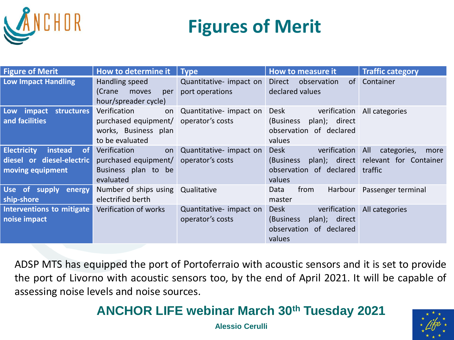

# **Figures of Merit**

| <b>Figure of Merit</b>                                                               | How to determine it                                                                                    | Type                                        | How to measure it                                                                        | <b>Traffic category</b>                                     |
|--------------------------------------------------------------------------------------|--------------------------------------------------------------------------------------------------------|---------------------------------------------|------------------------------------------------------------------------------------------|-------------------------------------------------------------|
| <b>Low Impact Handling</b>                                                           | Handling speed<br>(Crane<br>moves<br>per<br>hour/spreader cycle)                                       | Quantitative- impact on<br>port operations  | <b>Direct</b><br>observation<br>of<br>declared values                                    | Container                                                   |
| Low impact structures<br>and facilities                                              | Verification<br>on<br>purchased equipment/ operator's costs<br>works, Business plan<br>to be evaluated | Quantitative- impact on                     | verification<br>Desk<br>plan); direct<br>(Business<br>observation of declared<br>values  | All categories                                              |
| <b>Electricity</b><br>of<br>instead<br>diesel or diesel-electric<br>moving equipment | Verification<br>on<br>purchased equipment/<br>Business plan to be<br>evaluated                         | Quantitative- impact on<br>operator's costs | Desk<br>verification All<br>(Business<br>observation of declared traffic<br>values       | categories,<br>more<br>plan); direct relevant for Container |
| Use of supply<br>energy<br>ship-shore                                                | Number of ships using<br>electrified berth                                                             | Qualitative                                 | Harbour<br>Data<br>from<br>master                                                        | Passenger terminal                                          |
| Interventions to mitigate<br>noise impact                                            | Verification of works                                                                                  | Quantitative- impact on<br>operator's costs | Desk<br>verification<br>(Business)<br>plan); direct<br>observation of declared<br>values | All categories                                              |

ADSP MTS has equipped the port of Portoferraio with acoustic sensors and it is set to provide the port of Livorno with acoustic sensors too, by the end of April 2021. It will be capable of assessing noise levels and noise sources.

#### **ANCHOR LIFE webinar March 30th Tuesday 2021**

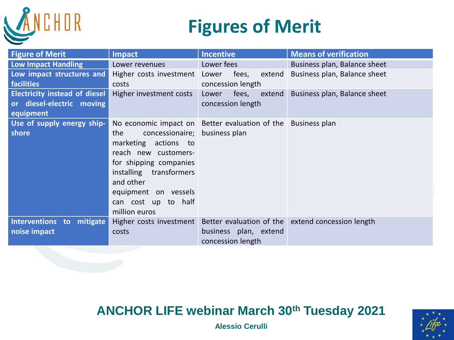

# **Figures of Merit**

| <b>Figure of Merit</b>                                                         | <b>Impact</b>                                                                                                                                                                                                          | <b>Incentive</b>                                             | <b>Means of verification</b>                                              |
|--------------------------------------------------------------------------------|------------------------------------------------------------------------------------------------------------------------------------------------------------------------------------------------------------------------|--------------------------------------------------------------|---------------------------------------------------------------------------|
| Low Impact Handling                                                            | Lower revenues                                                                                                                                                                                                         | Lower fees                                                   | Business plan, Balance sheet                                              |
| Low impact structures and<br><b>facilities</b>                                 | Higher costs investment Lower<br>costs                                                                                                                                                                                 | fees,<br>extend<br>concession length                         | Business plan, Balance sheet                                              |
| <b>Electricity instead of diesel</b><br>or diesel-electric moving<br>equipment | Higher investment costs                                                                                                                                                                                                | fees,<br>Lower<br>extend<br>concession length                | Business plan, Balance sheet                                              |
| Use of supply energy ship-<br>shore                                            | the<br>concessionaire; business plan<br>marketing actions to<br>reach new customers-<br>for shipping companies<br>installing transformers<br>and other<br>equipment on vessels<br>can cost up to half<br>million euros | No economic impact on Better evaluation of the Business plan |                                                                           |
| Interventions to mitigate<br>noise impact                                      | costs                                                                                                                                                                                                                  | business plan, extend<br>concession length                   | Higher costs investment Better evaluation of the extend concession length |

### **ANCHOR LIFE webinar March 30th Tuesday 2021**

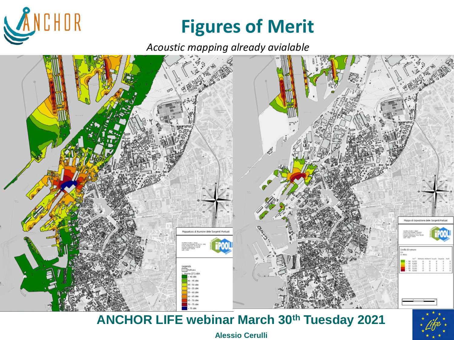

# **Figures of Merit**

*Acoustic mapping already avialable*



## **ANCHOR LIFE webinar March 30th Tuesday 2021**

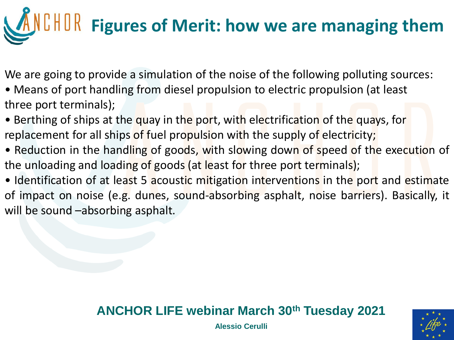# **Figures of Merit: how we are managing them**

We are going to provide a simulation of the noise of the following polluting sources:

- Means of port handling from diesel propulsion to electric propulsion (at least three port terminals);
- Berthing of ships at the quay in the port, with electrification of the quays, for replacement for all ships of fuel propulsion with the supply of electricity;
- Reduction in the handling of goods, with slowing down of speed of the execution of the unloading and loading of goods (at least for three port terminals);
- Identification of at least 5 acoustic mitigation interventions in the port and estimate of impact on noise (e.g. dunes, sound-absorbing asphalt, noise barriers). Basically, it will be sound –absorbing asphalt.

## **ANCHOR LIFE webinar March 30th Tuesday 2021**

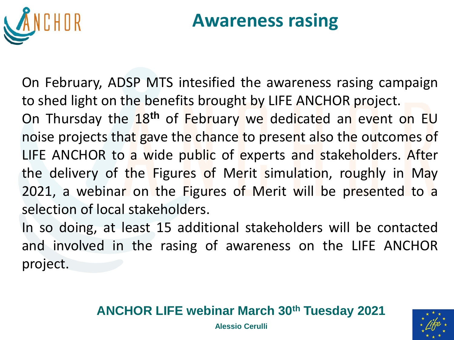

# **Awareness rasing**

On February, ADSP MTS intesified the awareness rasing campaign to shed light on the benefits brought by LIFE ANCHOR project. On Thursday the 18**th** of February we dedicated an event on EU noise projects that gave the chance to present also the outcomes of LIFE ANCHOR to a wide public of experts and stakeholders. After the delivery of the Figures of Merit simulation, roughly in May 2021, a webinar on the Figures of Merit will be presented to a selection of local stakeholders.

In so doing, at least 15 additional stakeholders will be contacted and involved in the rasing of awareness on the LIFE ANCHOR project.

#### **ANCHOR LIFE webinar March 30th Tuesday 2021**